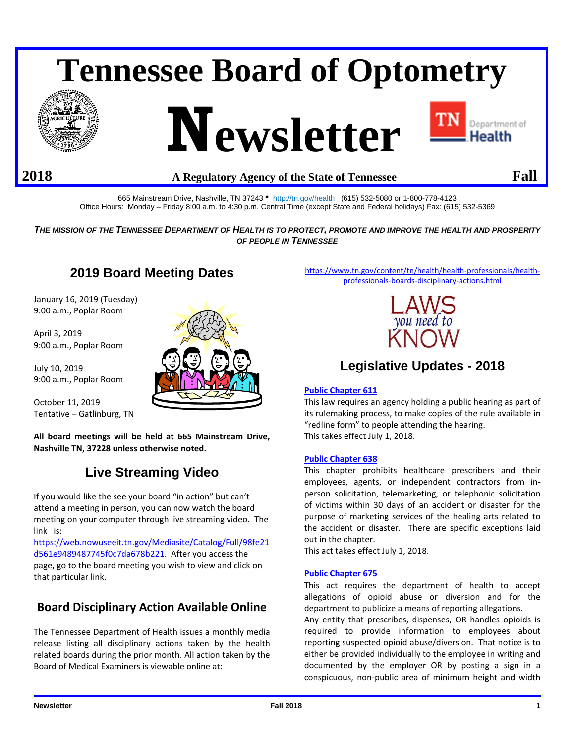# **Tennessee Board of Optometry**







## **2018 A Regulatory Agency of the State of Tennessee Fall**

665 Mainstream Drive, Nashville, TN 37243 · <http://tn.gov/health>(615) 532-5080 or 1-800-778-4123 Office Hours: Monday – Friday 8:00 a.m. to 4:30 p.m. Central Time (except State and Federal holidays) Fax: (615) 532-5369

*THE MISSION OF THE TENNESSEE DEPARTMENT OF HEALTH IS TO PROTECT, PROMOTE AND IMPROVE THE HEALTH AND PROSPERITY OF PEOPLE IN TENNESSEE*

# **2019 Board Meeting Dates**

January 16, 2019 (Tuesday) 9:00 a.m., Poplar Room

April 3, 2019 9:00 a.m., Poplar Room

July 10, 2019 9:00 a.m., Poplar Room

October 11, 2019 Tentative – Gatlinburg, TN

**All board meetings will be held at 665 Mainstream Drive, Nashville TN, 37228 unless otherwise noted.**

# **Live Streaming Video**

If you would like the see your board "in action" but can't attend a meeting in person, you can now watch the board meeting on your computer through live streaming video. The link is:

[https://web.nowuseeit.tn.gov/Mediasite/Catalog/Full/98fe21](https://web.nowuseeit.tn.gov/Mediasite/Catalog/Full/98fe21d561e9489487745f0c7da678b221) [d561e9489487745f0c7da678b221.](https://web.nowuseeit.tn.gov/Mediasite/Catalog/Full/98fe21d561e9489487745f0c7da678b221) After you access the page, go to the board meeting you wish to view and click on that particular link.

## **Board Disciplinary Action Available Online**

The Tennessee Department of Health issues a monthly media release listing all disciplinary actions taken by the health related boards during the prior month. All action taken by the Board of Medical Examiners is viewable online at:

[https://www.tn.gov/content/tn/health/health-professionals/health](https://www.tn.gov/content/tn/health/health-professionals/health-professionals-boards-disciplinary-actions.html)[professionals-boards-disciplinary-actions.html](https://www.tn.gov/content/tn/health/health-professionals/health-professionals-boards-disciplinary-actions.html)



# **Legislative Updates - 2018**

### **[Public Chapter 611](http://publications.tnsosfiles.com/acts/110/pub/pc0611.pdf)**

This law requires an agency holding a public hearing as part of its rulemaking process, to make copies of the rule available in "redline form" to people attending the hearing. This takes effect July 1, 2018.

#### **[Public Chapter 638](http://publications.tnsosfiles.com/acts/110/pub/pc0638.pdf)**

This chapter prohibits healthcare prescribers and their employees, agents, or independent contractors from inperson solicitation, telemarketing, or telephonic solicitation of victims within 30 days of an accident or disaster for the purpose of marketing services of the healing arts related to the accident or disaster. There are specific exceptions laid out in the chapter.

This act takes effect July 1, 2018.

#### **[Public Chapter 675](http://publications.tnsosfiles.com/acts/110/pub/pc0675.pdf)**

This act requires the department of health to accept allegations of opioid abuse or diversion and for the department to publicize a means of reporting allegations.

Any entity that prescribes, dispenses, OR handles opioids is required to provide information to employees about reporting suspected opioid abuse/diversion. That notice is to either be provided individually to the employee in writing and documented by the employer OR by posting a sign in a conspicuous, non-public area of minimum height and width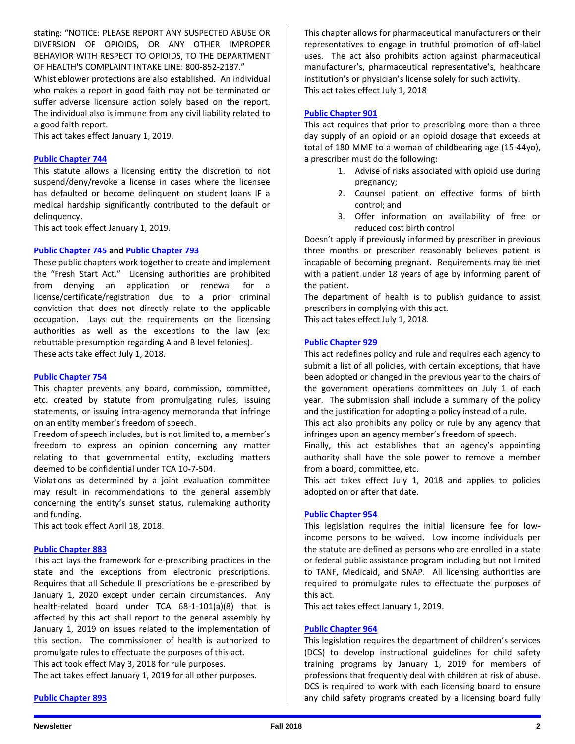stating: "NOTICE: PLEASE REPORT ANY SUSPECTED ABUSE OR DIVERSION OF OPIOIDS, OR ANY OTHER IMPROPER BEHAVIOR WITH RESPECT TO OPIOIDS, TO THE DEPARTMENT OF HEALTH'S COMPLAINT INTAKE LINE: 800-852-2187."

Whistleblower protections are also established. An individual who makes a report in good faith may not be terminated or suffer adverse licensure action solely based on the report. The individual also is immune from any civil liability related to a good faith report.

This act takes effect January 1, 2019.

#### **[Public Chapter 744](http://publications.tnsosfiles.com/acts/110/pub/pc0744.pdf)**

This statute allows a licensing entity the discretion to not suspend/deny/revoke a license in cases where the licensee has defaulted or become delinquent on student loans IF a medical hardship significantly contributed to the default or delinquency.

This act took effect January 1, 2019.

#### **[Public Chapter 745](http://publications.tnsosfiles.com/acts/110/pub/pc0745.pdf) and [Public Chapter 793](http://publications.tnsosfiles.com/acts/110/pub/pc0793.pdf)**

These public chapters work together to create and implement the "Fresh Start Act." Licensing authorities are prohibited from denying an application or renewal for a license/certificate/registration due to a prior criminal conviction that does not directly relate to the applicable occupation. Lays out the requirements on the licensing authorities as well as the exceptions to the law (ex: rebuttable presumption regarding A and B level felonies). These acts take effect July 1, 2018.

#### **[Public Chapter 754](http://publications.tnsosfiles.com/acts/110/pub/pc0754.pdf)**

This chapter prevents any board, commission, committee, etc. created by statute from promulgating rules, issuing statements, or issuing intra-agency memoranda that infringe on an entity member's freedom of speech.

Freedom of speech includes, but is not limited to, a member's freedom to express an opinion concerning any matter relating to that governmental entity, excluding matters deemed to be confidential under TCA 10-7-504.

Violations as determined by a joint evaluation committee may result in recommendations to the general assembly concerning the entity's sunset status, rulemaking authority and funding.

This act took effect April 18, 2018.

#### **[Public Chapter 883](http://publications.tnsosfiles.com/acts/110/pub/pc0883.pdf)**

This act lays the framework for e-prescribing practices in the state and the exceptions from electronic prescriptions. Requires that all Schedule II prescriptions be e-prescribed by January 1, 2020 except under certain circumstances. Any health-related board under TCA 68-1-101(a)(8) that is affected by this act shall report to the general assembly by January 1, 2019 on issues related to the implementation of this section. The commissioner of health is authorized to promulgate rules to effectuate the purposes of this act. This act took effect May 3, 2018 for rule purposes.

The act takes effect January 1, 2019 for all other purposes.

**[Public Chapter 893](http://publications.tnsosfiles.com/acts/110/pub/pc0893.pdf)**

This chapter allows for pharmaceutical manufacturers or their representatives to engage in truthful promotion of off-label uses. The act also prohibits action against pharmaceutical manufacturer's, pharmaceutical representative's, healthcare institution's or physician's license solely for such activity. This act takes effect July 1, 2018

#### **[Public Chapter 901](http://publications.tnsosfiles.com/acts/110/pub/pc0901.pdf)**

This act requires that prior to prescribing more than a three day supply of an opioid or an opioid dosage that exceeds at total of 180 MME to a woman of childbearing age (15-44yo), a prescriber must do the following:

- 1. Advise of risks associated with opioid use during pregnancy;
- 2. Counsel patient on effective forms of birth control; and
- 3. Offer information on availability of free or reduced cost birth control

Doesn't apply if previously informed by prescriber in previous three months or prescriber reasonably believes patient is incapable of becoming pregnant. Requirements may be met with a patient under 18 years of age by informing parent of the patient.

The department of health is to publish guidance to assist prescribers in complying with this act.

This act takes effect July 1, 2018.

#### **[Public Chapter 929](http://publications.tnsosfiles.com/acts/110/pub/pc0929.pdf)**

This act redefines policy and rule and requires each agency to submit a list of all policies, with certain exceptions, that have been adopted or changed in the previous year to the chairs of the government operations committees on July 1 of each year. The submission shall include a summary of the policy and the justification for adopting a policy instead of a rule.

This act also prohibits any policy or rule by any agency that infringes upon an agency member's freedom of speech.

Finally, this act establishes that an agency's appointing authority shall have the sole power to remove a member from a board, committee, etc.

This act takes effect July 1, 2018 and applies to policies adopted on or after that date.

#### **[Public Chapter 954](http://publications.tnsosfiles.com/acts/110/pub/pc0954.pdf)**

This legislation requires the initial licensure fee for lowincome persons to be waived. Low income individuals per the statute are defined as persons who are enrolled in a state or federal public assistance program including but not limited to TANF, Medicaid, and SNAP. All licensing authorities are required to promulgate rules to effectuate the purposes of this act.

This act takes effect January 1, 2019.

#### **[Public Chapter 964](http://publications.tnsosfiles.com/acts/110/pub/pc0964.pdf)**

This legislation requires the department of children's services (DCS) to develop instructional guidelines for child safety training programs by January 1, 2019 for members of professions that frequently deal with children at risk of abuse. DCS is required to work with each licensing board to ensure any child safety programs created by a licensing board fully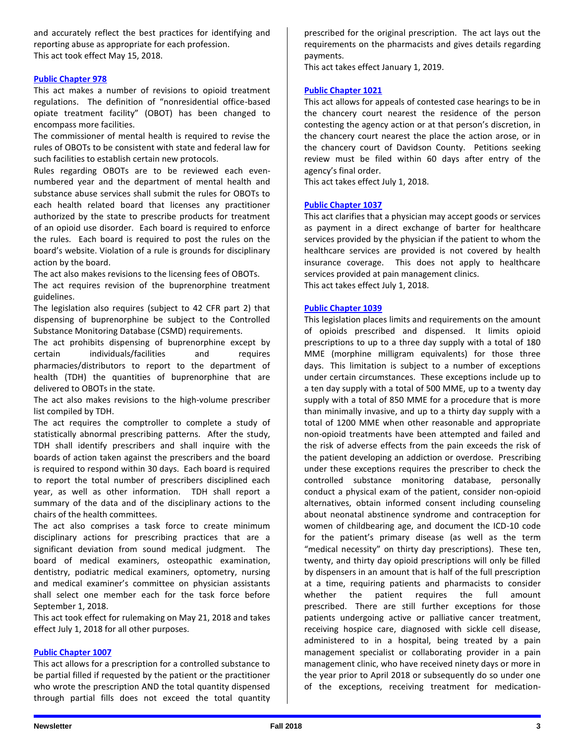and accurately reflect the best practices for identifying and reporting abuse as appropriate for each profession. This act took effect May 15, 2018.

#### **[Public Chapter 978](http://publications.tnsosfiles.com/acts/110/pub/pc0978.pdf)**

This act makes a number of revisions to opioid treatment regulations. The definition of "nonresidential office-based opiate treatment facility" (OBOT) has been changed to encompass more facilities.

The commissioner of mental health is required to revise the rules of OBOTs to be consistent with state and federal law for such facilities to establish certain new protocols.

Rules regarding OBOTs are to be reviewed each evennumbered year and the department of mental health and substance abuse services shall submit the rules for OBOTs to each health related board that licenses any practitioner authorized by the state to prescribe products for treatment of an opioid use disorder. Each board is required to enforce the rules. Each board is required to post the rules on the board's website. Violation of a rule is grounds for disciplinary action by the board.

The act also makes revisions to the licensing fees of OBOTs.

The act requires revision of the buprenorphine treatment guidelines.

The legislation also requires (subject to 42 CFR part 2) that dispensing of buprenorphine be subject to the Controlled Substance Monitoring Database (CSMD) requirements.

The act prohibits dispensing of buprenorphine except by certain individuals/facilities and requires pharmacies/distributors to report to the department of health (TDH) the quantities of buprenorphine that are delivered to OBOTs in the state.

The act also makes revisions to the high-volume prescriber list compiled by TDH.

The act requires the comptroller to complete a study of statistically abnormal prescribing patterns. After the study, TDH shall identify prescribers and shall inquire with the boards of action taken against the prescribers and the board is required to respond within 30 days. Each board is required to report the total number of prescribers disciplined each year, as well as other information. TDH shall report a summary of the data and of the disciplinary actions to the chairs of the health committees.

The act also comprises a task force to create minimum disciplinary actions for prescribing practices that are a significant deviation from sound medical judgment. The board of medical examiners, osteopathic examination, dentistry, podiatric medical examiners, optometry, nursing and medical examiner's committee on physician assistants shall select one member each for the task force before September 1, 2018.

This act took effect for rulemaking on May 21, 2018 and takes effect July 1, 2018 for all other purposes.

#### **[Public Chapter 1007](http://publications.tnsosfiles.com/acts/110/pub/pc1007.pdf)**

This act allows for a prescription for a controlled substance to be partial filled if requested by the patient or the practitioner who wrote the prescription AND the total quantity dispensed through partial fills does not exceed the total quantity prescribed for the original prescription. The act lays out the requirements on the pharmacists and gives details regarding payments.

This act takes effect January 1, 2019.

#### **[Public Chapter 1021](http://publications.tnsosfiles.com/acts/110/pub/pc1021.pdf)**

This act allows for appeals of contested case hearings to be in the chancery court nearest the residence of the person contesting the agency action or at that person's discretion, in the chancery court nearest the place the action arose, or in the chancery court of Davidson County. Petitions seeking review must be filed within 60 days after entry of the agency's final order.

This act takes effect July 1, 2018.

#### **[Public Chapter 1037](http://publications.tnsosfiles.com/acts/110/pub/pc1037.pdf)**

This act clarifies that a physician may accept goods or services as payment in a direct exchange of barter for healthcare services provided by the physician if the patient to whom the healthcare services are provided is not covered by health insurance coverage. This does not apply to healthcare services provided at pain management clinics. This act takes effect July 1, 2018.

#### **[Public Chapter 1039](http://publications.tnsosfiles.com/acts/110/pub/pc1039.pdf)**

This legislation places limits and requirements on the amount of opioids prescribed and dispensed. It limits opioid prescriptions to up to a three day supply with a total of 180 MME (morphine milligram equivalents) for those three days. This limitation is subject to a number of exceptions under certain circumstances. These exceptions include up to a ten day supply with a total of 500 MME, up to a twenty day supply with a total of 850 MME for a procedure that is more than minimally invasive, and up to a thirty day supply with a total of 1200 MME when other reasonable and appropriate non-opioid treatments have been attempted and failed and the risk of adverse effects from the pain exceeds the risk of the patient developing an addiction or overdose. Prescribing under these exceptions requires the prescriber to check the controlled substance monitoring database, personally conduct a physical exam of the patient, consider non-opioid alternatives, obtain informed consent including counseling about neonatal abstinence syndrome and contraception for women of childbearing age, and document the ICD-10 code for the patient's primary disease (as well as the term "medical necessity" on thirty day prescriptions). These ten, twenty, and thirty day opioid prescriptions will only be filled by dispensers in an amount that is half of the full prescription at a time, requiring patients and pharmacists to consider whether the patient requires the full amount prescribed. There are still further exceptions for those patients undergoing active or palliative cancer treatment, receiving hospice care, diagnosed with sickle cell disease, administered to in a hospital, being treated by a pain management specialist or collaborating provider in a pain management clinic, who have received ninety days or more in the year prior to April 2018 or subsequently do so under one of the exceptions, receiving treatment for medication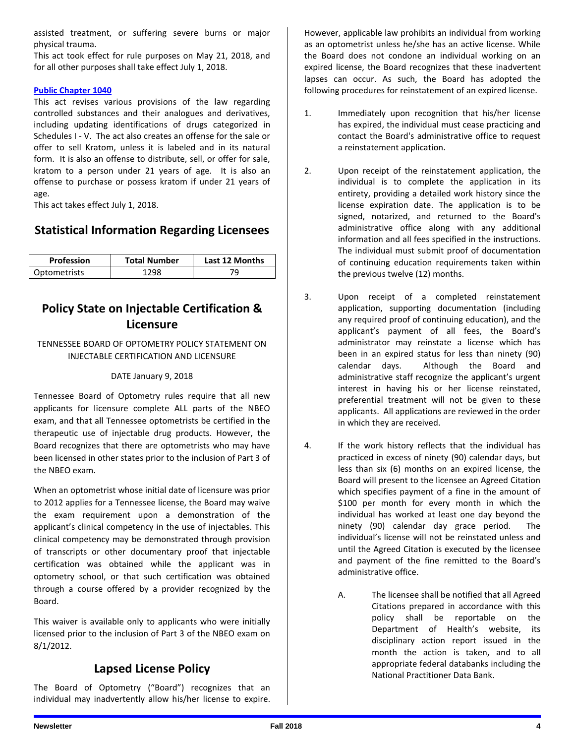assisted treatment, or suffering severe burns or major physical trauma.

This act took effect for rule purposes on May 21, 2018, and for all other purposes shall take effect July 1, 2018.

## **[Public Chapter 1040](http://publications.tnsosfiles.com/acts/110/pub/pc1040.pdf)**

This act revises various provisions of the law regarding controlled substances and their analogues and derivatives, including updating identifications of drugs categorized in Schedules I - V. The act also creates an offense for the sale or offer to sell Kratom, unless it is labeled and in its natural form. It is also an offense to distribute, sell, or offer for sale, kratom to a person under 21 years of age. It is also an offense to purchase or possess kratom if under 21 years of age.

This act takes effect July 1, 2018.

## **Statistical Information Regarding Licensees**

| <b>Profession</b> | <b>Total Number</b> | Last 12 Months |
|-------------------|---------------------|----------------|
| Optometrists      | 298                 | 79             |

# **Policy State on Injectable Certification & Licensure**

## TENNESSEE BOARD OF OPTOMETRY POLICY STATEMENT ON INJECTABLE CERTIFICATION AND LICENSURE

## DATE January 9, 2018

Tennessee Board of Optometry rules require that all new applicants for licensure complete ALL parts of the NBEO exam, and that all Tennessee optometrists be certified in the therapeutic use of injectable drug products. However, the Board recognizes that there are optometrists who may have been licensed in other states prior to the inclusion of Part 3 of the NBEO exam.

When an optometrist whose initial date of licensure was prior to 2012 applies for a Tennessee license, the Board may waive the exam requirement upon a demonstration of the applicant's clinical competency in the use of injectables. This clinical competency may be demonstrated through provision of transcripts or other documentary proof that injectable certification was obtained while the applicant was in optometry school, or that such certification was obtained through a course offered by a provider recognized by the Board.

This waiver is available only to applicants who were initially licensed prior to the inclusion of Part 3 of the NBEO exam on 8/1/2012.

## **Lapsed License Policy**

The Board of Optometry ("Board") recognizes that an individual may inadvertently allow his/her license to expire. However, applicable law prohibits an individual from working as an optometrist unless he/she has an active license. While the Board does not condone an individual working on an expired license, the Board recognizes that these inadvertent lapses can occur. As such, the Board has adopted the following procedures for reinstatement of an expired license.

- 1. Immediately upon recognition that his/her license has expired, the individual must cease practicing and contact the Board's administrative office to request a reinstatement application.
- 2. Upon receipt of the reinstatement application, the individual is to complete the application in its entirety, providing a detailed work history since the license expiration date. The application is to be signed, notarized, and returned to the Board's administrative office along with any additional information and all fees specified in the instructions. The individual must submit proof of documentation of continuing education requirements taken within the previous twelve (12) months.
- 3. Upon receipt of a completed reinstatement application, supporting documentation (including any required proof of continuing education), and the applicant's payment of all fees, the Board's administrator may reinstate a license which has been in an expired status for less than ninety (90) calendar days. Although the Board and administrative staff recognize the applicant's urgent interest in having his or her license reinstated, preferential treatment will not be given to these applicants. All applications are reviewed in the order in which they are received.
- 4. If the work history reflects that the individual has practiced in excess of ninety (90) calendar days, but less than six (6) months on an expired license, the Board will present to the licensee an Agreed Citation which specifies payment of a fine in the amount of \$100 per month for every month in which the individual has worked at least one day beyond the ninety (90) calendar day grace period. The individual's license will not be reinstated unless and until the Agreed Citation is executed by the licensee and payment of the fine remitted to the Board's administrative office.
	- A. The licensee shall be notified that all Agreed Citations prepared in accordance with this policy shall be reportable on the Department of Health's website, its disciplinary action report issued in the month the action is taken, and to all appropriate federal databanks including the National Practitioner Data Bank.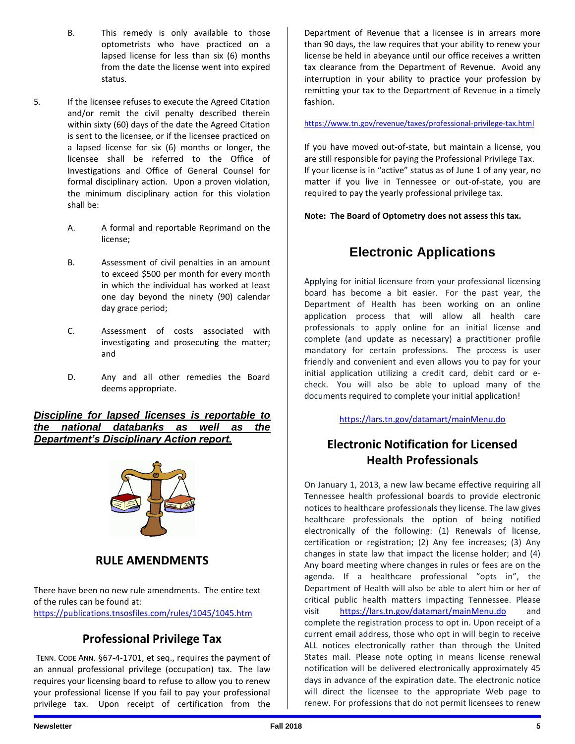- B. This remedy is only available to those optometrists who have practiced on a lapsed license for less than six (6) months from the date the license went into expired status.
- 5. If the licensee refuses to execute the Agreed Citation and/or remit the civil penalty described therein within sixty (60) days of the date the Agreed Citation is sent to the licensee, or if the licensee practiced on a lapsed license for six (6) months or longer, the licensee shall be referred to the Office of Investigations and Office of General Counsel for formal disciplinary action. Upon a proven violation, the minimum disciplinary action for this violation shall be:
	- A. A formal and reportable Reprimand on the license;
	- B. Assessment of civil penalties in an amount to exceed \$500 per month for every month in which the individual has worked at least one day beyond the ninety (90) calendar day grace period;
	- C. Assessment of costs associated with investigating and prosecuting the matter; and
	- D. Any and all other remedies the Board deems appropriate.

## *Discipline for lapsed licenses is reportable to the national databanks as well as the Department's Disciplinary Action report.*



## **RULE AMENDMENTS**

There have been no new rule amendments. The entire text of the rules can be found at:

<https://publications.tnsosfiles.com/rules/1045/1045.htm>

# **Professional Privilege Tax**

TENN. CODE ANN. §67-4-1701, et seq., requires the payment of an annual professional privilege (occupation) tax. The law requires your licensing board to refuse to allow you to renew your professional license If you fail to pay your professional privilege tax. Upon receipt of certification from the

Department of Revenue that a licensee is in arrears more than 90 days, the law requires that your ability to renew your license be held in abeyance until our office receives a written tax clearance from the Department of Revenue. Avoid any interruption in your ability to practice your profession by remitting your tax to the Department of Revenue in a timely fashion.

<https://www.tn.gov/revenue/taxes/professional-privilege-tax.html>

If you have moved out-of-state, but maintain a license, you are still responsible for paying the Professional Privilege Tax. If your license is in "active" status as of June 1 of any year, no matter if you live in Tennessee or out-of-state, you are required to pay the yearly professional privilege tax.

**Note: The Board of Optometry does not assess this tax.** 

# **Electronic Applications**

Applying for initial licensure from your professional licensing board has become a bit easier. For the past year, the Department of Health has been working on an online application process that will allow all health care professionals to apply online for an initial license and complete (and update as necessary) a practitioner profile mandatory for certain professions. The process is user friendly and convenient and even allows you to pay for your initial application utilizing a credit card, debit card or echeck. You will also be able to upload many of the documents required to complete your initial application!

<https://lars.tn.gov/datamart/mainMenu.do>

# **Electronic Notification for Licensed Health Professionals**

On January 1, 2013, a new law became effective requiring all Tennessee health professional boards to provide electronic notices to healthcare professionals they license. The law gives healthcare professionals the option of being notified electronically of the following: (1) Renewals of license, certification or registration; (2) Any fee increases; (3) Any changes in state law that impact the license holder; and (4) Any board meeting where changes in rules or fees are on the agenda. If a healthcare professional "opts in", the Department of Health will also be able to alert him or her of critical public health matters impacting Tennessee. Please visit <https://lars.tn.gov/datamart/mainMenu.do> and complete the registration process to opt in. Upon receipt of a current email address, those who opt in will begin to receive ALL notices electronically rather than through the United States mail. Please note opting in means license renewal notification will be delivered electronically approximately 45 days in advance of the expiration date. The electronic notice will direct the licensee to the appropriate Web page to renew. For professions that do not permit licensees to renew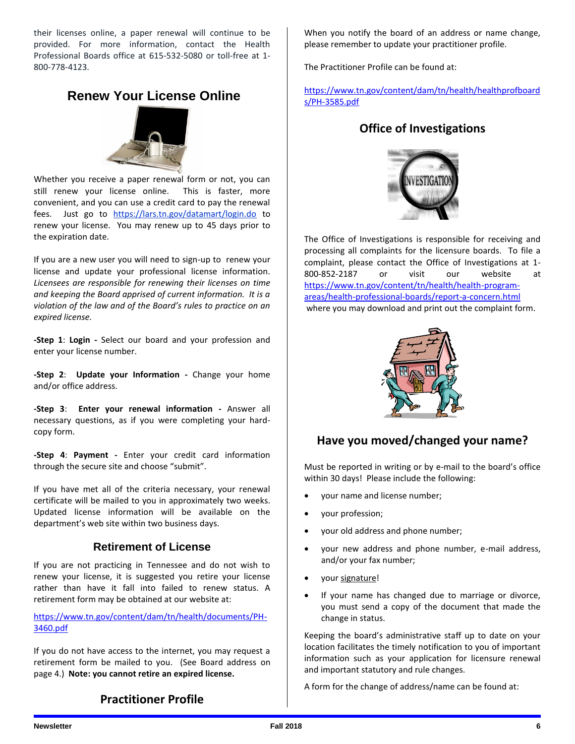their licenses online, a paper renewal will continue to be provided. For more information, contact the Health Professional Boards office at 615-532-5080 or toll-free at 1- 800-778-4123.

# **Renew Your License Online**



Whether you receive a paper renewal form or not, you can still renew your license online. This is faster, more convenient, and you can use a credit card to pay the renewal fees. Just go to <https://lars.tn.gov/datamart/login.do> to renew your license. You may renew up to 45 days prior to the expiration date.

If you are a new user you will need to sign-up to renew your license and update your professional license information. *Licensees are responsible for renewing their licenses on time and keeping the Board apprised of current information. It is a violation of the law and of the Board's rules to practice on an expired license.*

**-Step 1**: **Login -** Select our board and your profession and enter your license number.

**-Step 2**: **Update your Information -** Change your home and/or office address.

**-Step 3**: **Enter your renewal information -** Answer all necessary questions, as if you were completing your hardcopy form.

**-Step 4**: **Payment -** Enter your credit card information through the secure site and choose "submit".

If you have met all of the criteria necessary, your renewal certificate will be mailed to you in approximately two weeks. Updated license information will be available on the department's web site within two business days.

## **Retirement of License**

If you are not practicing in Tennessee and do not wish to renew your license, it is suggested you retire your license rather than have it fall into failed to renew status. A retirement form may be obtained at our website at:

[https://www.tn.gov/content/dam/tn/health/documents/PH-](https://www.tn.gov/content/dam/tn/health/documents/PH-3460.pdf)[3460.pdf](https://www.tn.gov/content/dam/tn/health/documents/PH-3460.pdf)

If you do not have access to the internet, you may request a retirement form be mailed to you. (See Board address on page 4.) **Note: you cannot retire an expired license.**

When you notify the board of an address or name change, please remember to update your practitioner profile.

The Practitioner Profile can be found at:

## [https://www.tn.gov/content/dam/tn/health/healthprofboard](https://www.tn.gov/content/dam/tn/health/healthprofboards/PH-3585.pdf) [s/PH-3585.pdf](https://www.tn.gov/content/dam/tn/health/healthprofboards/PH-3585.pdf)

## **Office of Investigations**



The Office of Investigations is responsible for receiving and processing all complaints for the licensure boards. To file a complaint, please contact the Office of Investigations at 1- 800-852-2187 or visit our website at [https://www.tn.gov/content/tn/health/health-program](https://www.tn.gov/content/tn/health/health-program-areas/health-professional-boards/report-a-concern.html)[areas/health-professional-boards/report-a-concern.html](https://www.tn.gov/content/tn/health/health-program-areas/health-professional-boards/report-a-concern.html) where you may download and print out the complaint form.



## **Have you moved/changed your name?**

Must be reported in writing or by e-mail to the board's office within 30 days! Please include the following:

- your name and license number;
- your profession;
- your old address and phone number;
- your new address and phone number, e-mail address, and/or your fax number;
- your signature!
- If your name has changed due to marriage or divorce, you must send a copy of the document that made the change in status.

Keeping the board's administrative staff up to date on your location facilitates the timely notification to you of important information such as your application for licensure renewal and important statutory and rule changes.

A form for the change of address/name can be found at:

## **Practitioner Profile**